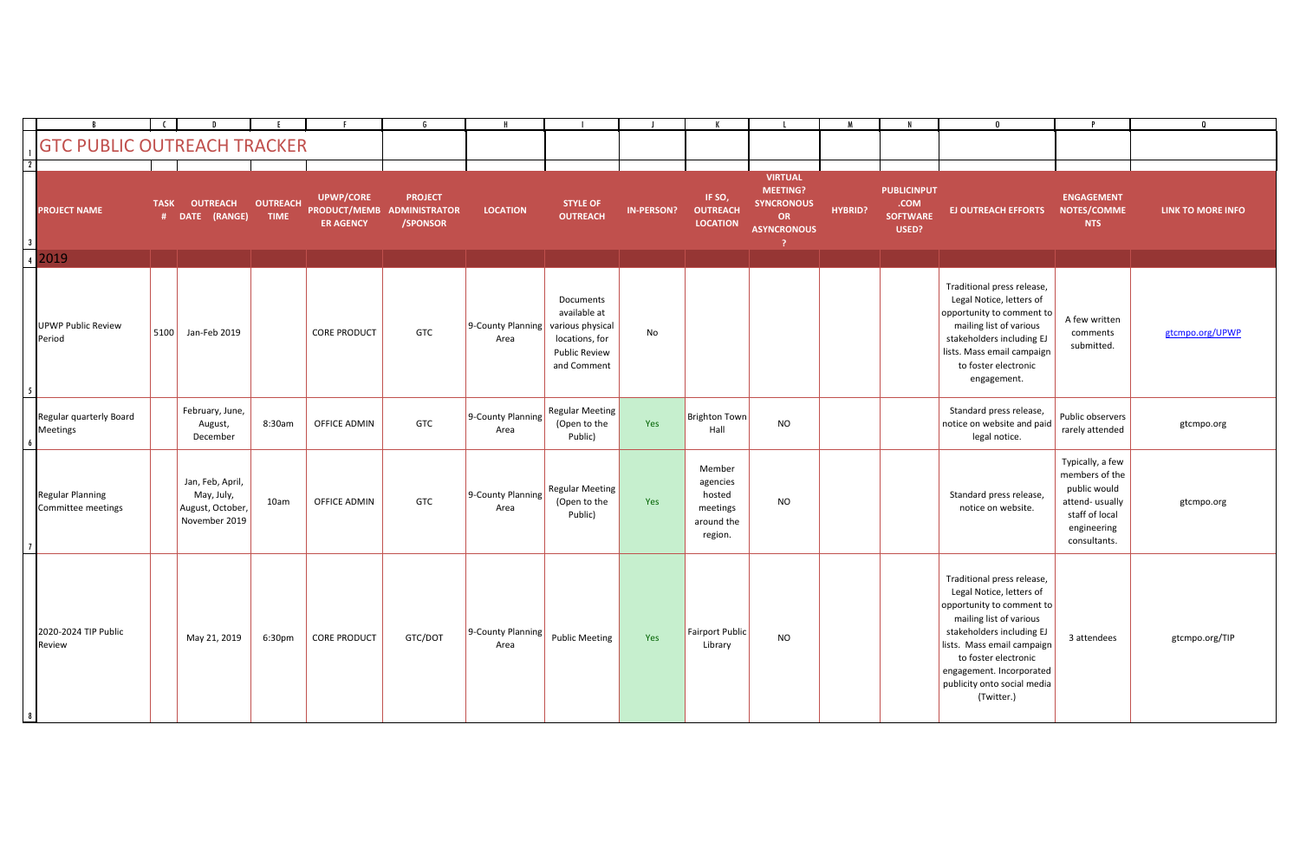|                                        |                  |                                                                     |                                |                                      |                                                                 |                           |                                                                                                        |                   |                                                                   |                                                                                           |                |                                                        |                                                                                                                                                                                                                                                                            |                                                                                                                       | $\boldsymbol{0}$         |
|----------------------------------------|------------------|---------------------------------------------------------------------|--------------------------------|--------------------------------------|-----------------------------------------------------------------|---------------------------|--------------------------------------------------------------------------------------------------------|-------------------|-------------------------------------------------------------------|-------------------------------------------------------------------------------------------|----------------|--------------------------------------------------------|----------------------------------------------------------------------------------------------------------------------------------------------------------------------------------------------------------------------------------------------------------------------------|-----------------------------------------------------------------------------------------------------------------------|--------------------------|
| <b>GTC PUBLIC OUTREACH TRACKER</b>     |                  |                                                                     |                                |                                      |                                                                 |                           |                                                                                                        |                   |                                                                   |                                                                                           |                |                                                        |                                                                                                                                                                                                                                                                            |                                                                                                                       |                          |
| <b>PROJECT NAME</b>                    | <b>TASK</b><br># | <b>OUTREACH</b><br>(RANGE)<br><b>DATE</b>                           | <b>OUTREACH</b><br><b>TIME</b> | <b>UPWP/CORE</b><br><b>ER AGENCY</b> | <b>PROJECT</b><br><b>PRODUCT/MEMB ADMINISTRATOR</b><br>/SPONSOR | <b>LOCATION</b>           | <b>STYLE OF</b><br><b>OUTREACH</b>                                                                     | <b>IN-PERSON?</b> | IF SO,<br><b>OUTREACH</b><br><b>LOCATION</b>                      | <b>VIRTUAL</b><br><b>MEETING?</b><br><b>SYNCRONOUS</b><br><b>OR</b><br><b>ASYNCRONOUS</b> | <b>HYBRID?</b> | <b>PUBLICINPUT</b><br>.COM<br><b>SOFTWARE</b><br>USED? | <b>EJ OUTREACH EFFORTS</b>                                                                                                                                                                                                                                                 | <b>ENGAGEMENT</b><br>NOTES/COMME<br><b>NTS</b>                                                                        | <b>LINK TO MORE INFO</b> |
| $\frac{3}{4}$ 2019                     |                  |                                                                     |                                |                                      |                                                                 |                           |                                                                                                        |                   |                                                                   |                                                                                           |                |                                                        |                                                                                                                                                                                                                                                                            |                                                                                                                       |                          |
| <b>UPWP Public Review</b><br>Period    | 5100             | Jan-Feb 2019                                                        |                                | <b>CORE PRODUCT</b>                  | <b>GTC</b>                                                      | 9-County Planning<br>Area | Documents<br>available at<br>various physical<br>locations, for<br><b>Public Review</b><br>and Comment | No                |                                                                   |                                                                                           |                |                                                        | Traditional press release,<br>Legal Notice, letters of<br>opportunity to comment to<br>mailing list of various<br>stakeholders including EJ<br>lists. Mass email campaign<br>to foster electronic<br>engagement.                                                           | A few written<br>comments<br>submitted.                                                                               | gtcmpo.org/UPWP          |
| Regular quarterly Board<br>Meetings    |                  | February, June,<br>August,<br>December                              | 8:30am                         | OFFICE ADMIN                         | <b>GTC</b>                                                      | 9-County Planning<br>Area | <b>Regular Meeting</b><br>(Open to the<br>Public)                                                      | Yes               | Brighton Town<br>Hall                                             | <b>NO</b>                                                                                 |                |                                                        | Standard press release,<br>notice on website and paid<br>legal notice.                                                                                                                                                                                                     | Public observers<br>rarely attended                                                                                   | gtcmpo.org               |
| Regular Planning<br>Committee meetings |                  | Jan, Feb, April,<br>May, July,<br>August, October,<br>November 2019 | 10am                           | OFFICE ADMIN                         | GTC                                                             | 9-County Planning<br>Area | <b>Regular Meeting</b><br>(Open to the<br>Public)                                                      | Yes               | Member<br>agencies<br>hosted<br>meetings<br>around the<br>region. | <b>NO</b>                                                                                 |                |                                                        | Standard press release,<br>notice on website.                                                                                                                                                                                                                              | Typically, a few<br>members of the<br>public would<br>attend-usually<br>staff of local<br>engineering<br>consultants. | gtcmpo.org               |
| 2020-2024 TIP Public<br>Review         |                  | May 21, 2019                                                        | 6:30pm                         | <b>CORE PRODUCT</b>                  | GTC/DOT                                                         | 9-County Planning<br>Area | Public Meeting                                                                                         | Yes               | Fairport Public<br>Library                                        | <b>NO</b>                                                                                 |                |                                                        | Traditional press release,<br>Legal Notice, letters of<br>opportunity to comment to<br>mailing list of various<br>stakeholders including EJ<br>lists. Mass email campaign<br>to foster electronic<br>engagement. Incorporated<br>publicity onto social media<br>(Twitter.) | 3 attendees                                                                                                           | gtcmpo.org/TIP           |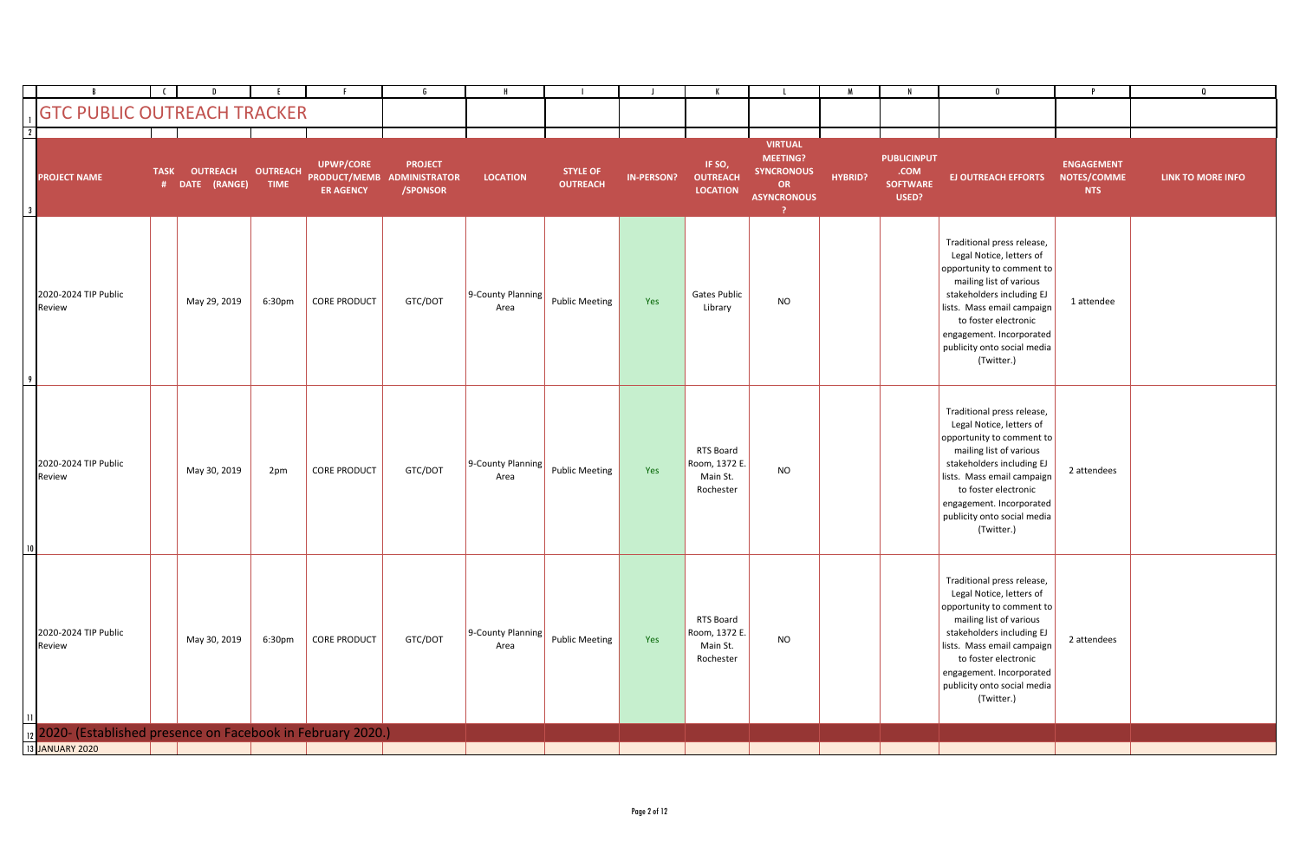|                 | <b>GTC PUBLIC OUTREACH TRACKER</b>                            |             |                                   |                                |                                      |                                                          |                           |                                    |                   |                                                     |                                                                                                      |                |                                                        | 0                                                                                                                                                                                                                                                                          |                                                | $\Omega$          |
|-----------------|---------------------------------------------------------------|-------------|-----------------------------------|--------------------------------|--------------------------------------|----------------------------------------------------------|---------------------------|------------------------------------|-------------------|-----------------------------------------------------|------------------------------------------------------------------------------------------------------|----------------|--------------------------------------------------------|----------------------------------------------------------------------------------------------------------------------------------------------------------------------------------------------------------------------------------------------------------------------------|------------------------------------------------|-------------------|
| $\overline{2}$  |                                                               |             |                                   |                                |                                      |                                                          |                           |                                    |                   |                                                     |                                                                                                      |                |                                                        |                                                                                                                                                                                                                                                                            |                                                |                   |
|                 | <b>PROJECT NAME</b>                                           | <b>TASK</b> | <b>OUTREACH</b><br># DATE (RANGE) | <b>OUTREACH</b><br><b>TIME</b> | <b>UPWP/CORE</b><br><b>ER AGENCY</b> | <b>PROJECT</b><br>PRODUCT/MEMB ADMINISTRATOR<br>/SPONSOR | <b>LOCATION</b>           | <b>STYLE OF</b><br><b>OUTREACH</b> | <b>IN-PERSON?</b> | IF SO,<br><b>OUTREACH</b><br><b>LOCATION</b>        | <b>VIRTUAL</b><br>MEETING?<br><b>SYNCRONOUS</b><br><b>OR</b><br><b>ASYNCRONOUS</b><br>$\overline{ }$ | <b>HYBRID?</b> | <b>PUBLICINPUT</b><br>.COM<br><b>SOFTWARE</b><br>USED? | <b>EJ OUTREACH EFFORTS</b>                                                                                                                                                                                                                                                 | <b>ENGAGEMENT</b><br>NOTES/COMME<br><b>NTS</b> | LINK TO MORE INFO |
|                 | 2020-2024 TIP Public<br>Review                                |             | May 29, 2019                      | 6:30pm                         | <b>CORE PRODUCT</b>                  | GTC/DOT                                                  | 9-County Planning<br>Area | <b>Public Meeting</b>              | Yes               | <b>Gates Public</b><br>Library                      | <b>NO</b>                                                                                            |                |                                                        | Traditional press release,<br>Legal Notice, letters of<br>opportunity to comment to<br>mailing list of various<br>stakeholders including EJ<br>lists. Mass email campaign<br>to foster electronic<br>engagement. Incorporated<br>publicity onto social media<br>(Twitter.) | 1 attendee                                     |                   |
| 10 <sup>1</sup> | 2020-2024 TIP Public<br>Review                                |             | May 30, 2019                      | 2pm                            | <b>CORE PRODUCT</b>                  | GTC/DOT                                                  | 9-County Planning<br>Area | <b>Public Meeting</b>              | Yes               | RTS Board<br>Room, 1372 E.<br>Main St.<br>Rochester | <b>NO</b>                                                                                            |                |                                                        | Traditional press release,<br>Legal Notice, letters of<br>opportunity to comment to<br>mailing list of various<br>stakeholders including EJ<br>lists. Mass email campaign<br>to foster electronic<br>engagement. Incorporated<br>publicity onto social media<br>(Twitter.) | 2 attendees                                    |                   |
|                 | 2020-2024 TIP Public<br>Review                                |             | May 30, 2019                      | 6:30pm                         | <b>CORE PRODUCT</b>                  | GTC/DOT                                                  | 9-County Planning<br>Area | <b>Public Meeting</b>              | Yes               | RTS Board<br>Room, 1372 E.<br>Main St.<br>Rochester | <b>NO</b>                                                                                            |                |                                                        | Traditional press release,<br>Legal Notice, letters of<br>opportunity to comment to<br>mailing list of various<br>stakeholders including EJ<br>lists. Mass email campaign<br>to foster electronic<br>engagement. Incorporated<br>publicity onto social media<br>(Twitter.) | 2 attendees                                    |                   |
|                 | 12 2020- (Established presence on Facebook in February 2020.) |             |                                   |                                |                                      |                                                          |                           |                                    |                   |                                                     |                                                                                                      |                |                                                        |                                                                                                                                                                                                                                                                            |                                                |                   |
|                 | 13 JANUARY 2020                                               |             |                                   |                                |                                      |                                                          |                           |                                    |                   |                                                     |                                                                                                      |                |                                                        |                                                                                                                                                                                                                                                                            |                                                |                   |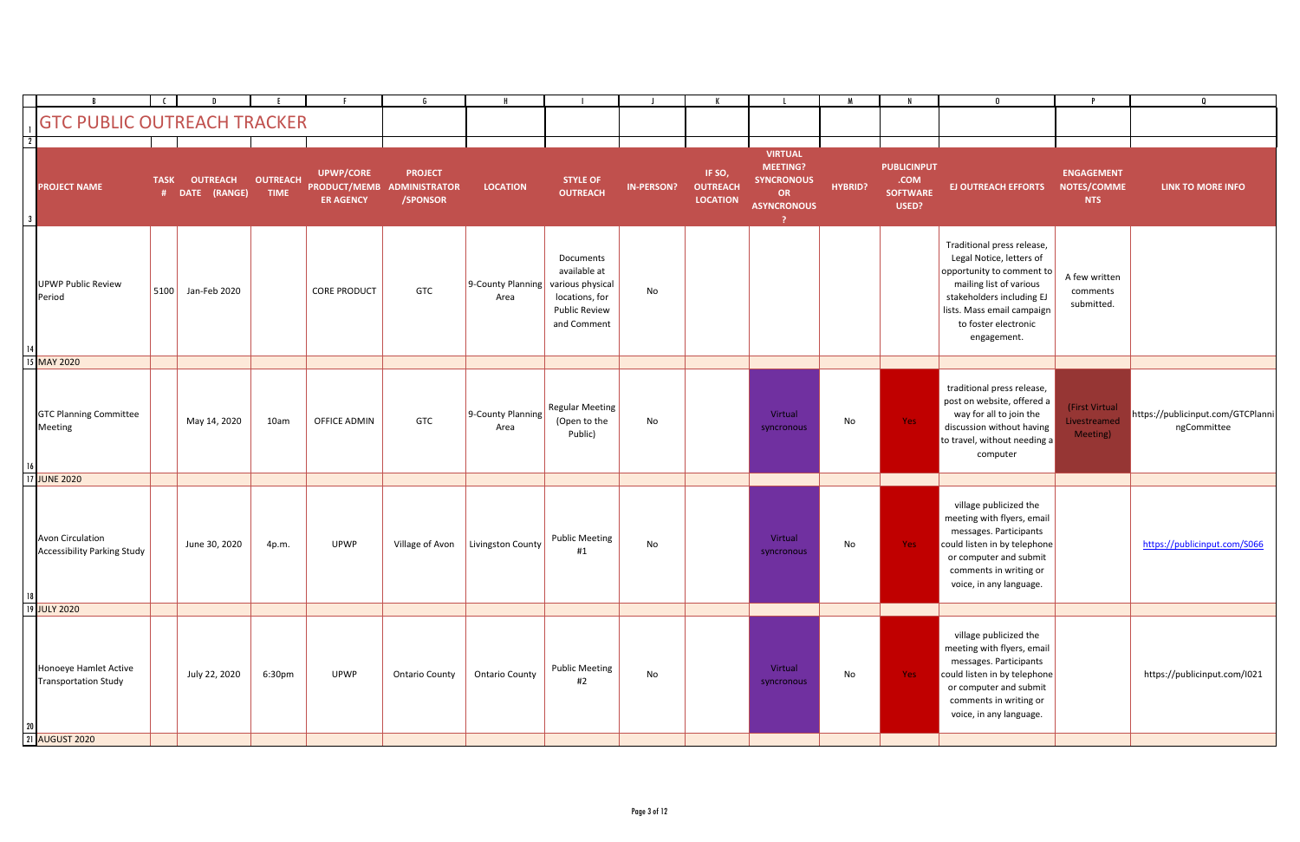|      |                                                        |             |                                   |                                |                                      |                                                          |                           |                                                                                                        |                   |                                              |                                                                                    |                |                                                        | $\mathbf{0}$                                                                                                                                                                                                     |                                                       |                                                  |
|------|--------------------------------------------------------|-------------|-----------------------------------|--------------------------------|--------------------------------------|----------------------------------------------------------|---------------------------|--------------------------------------------------------------------------------------------------------|-------------------|----------------------------------------------|------------------------------------------------------------------------------------|----------------|--------------------------------------------------------|------------------------------------------------------------------------------------------------------------------------------------------------------------------------------------------------------------------|-------------------------------------------------------|--------------------------------------------------|
|      | <b>GTC PUBLIC OUTREACH TRACKER</b>                     |             |                                   |                                |                                      |                                                          |                           |                                                                                                        |                   |                                              |                                                                                    |                |                                                        |                                                                                                                                                                                                                  |                                                       |                                                  |
|      |                                                        |             |                                   |                                |                                      |                                                          |                           |                                                                                                        |                   |                                              |                                                                                    |                |                                                        |                                                                                                                                                                                                                  |                                                       |                                                  |
|      | <b>PROJECT NAME</b>                                    | <b>TASK</b> | <b>OUTREACH</b><br># DATE (RANGE) | <b>OUTREACH</b><br><b>TIME</b> | <b>UPWP/CORE</b><br><b>ER AGENCY</b> | <b>PROJECT</b><br>PRODUCT/MEMB ADMINISTRATOR<br>/SPONSOR | <b>LOCATION</b>           | <b>STYLE OF</b><br><b>OUTREACH</b>                                                                     | <b>IN-PERSON?</b> | IF SO,<br><b>OUTREACH</b><br><b>LOCATION</b> | <b>VIRTUAL</b><br><b>MEETING?</b><br><b>SYNCRONOUS</b><br>OR<br><b>ASYNCRONOUS</b> | <b>HYBRID?</b> | <b>PUBLICINPUT</b><br>.COM<br><b>SOFTWARE</b><br>USED? | <b>EJ OUTREACH EFFORTS</b>                                                                                                                                                                                       | <b>ENGAGEMENT</b><br><b>NOTES/COMME</b><br><b>NTS</b> | <b>LINK TO MORE INFO</b>                         |
| 14 I | UPWP Public Review<br>Period                           | 5100        | Jan-Feb 2020                      |                                | <b>CORE PRODUCT</b>                  | GTC                                                      | 9-County Planning<br>Area | Documents<br>available at<br>various physical<br>locations, for<br><b>Public Review</b><br>and Comment | No                |                                              |                                                                                    |                |                                                        | Traditional press release,<br>Legal Notice, letters of<br>opportunity to comment to<br>mailing list of various<br>stakeholders including EJ<br>lists. Mass email campaign<br>to foster electronic<br>engagement. | A few written<br>comments<br>submitted.               |                                                  |
|      | 15 MAY 2020                                            |             |                                   |                                |                                      |                                                          |                           |                                                                                                        |                   |                                              |                                                                                    |                |                                                        |                                                                                                                                                                                                                  |                                                       |                                                  |
|      | <b>GTC Planning Committee</b><br>Meeting               |             | May 14, 2020                      | 10am                           | OFFICE ADMIN                         | GTC                                                      | 9-County Planning<br>Area | <b>Regular Meeting</b><br>(Open to the<br>Public)                                                      | No                |                                              | Virtual<br>syncronous                                                              | No             | Yes                                                    | traditional press release,<br>post on website, offered a<br>way for all to join the<br>discussion without having<br>to travel, without needing a<br>computer                                                     | (First Virtual<br>Livestreamed<br>Meeting)            | https://publicinput.com/GTCPlanni<br>ngCommittee |
|      | 17 JUNE 2020                                           |             |                                   |                                |                                      |                                                          |                           |                                                                                                        |                   |                                              |                                                                                    |                |                                                        |                                                                                                                                                                                                                  |                                                       |                                                  |
|      | Avon Circulation<br><b>Accessibility Parking Study</b> |             | June 30, 2020                     | 4p.m.                          | <b>UPWP</b>                          | Village of Avon                                          | Livingston County         | <b>Public Meeting</b><br>#1                                                                            | No                |                                              | Virtual<br>syncronous                                                              | No             | Yes:                                                   | village publicized the<br>meeting with flyers, email<br>messages. Participants<br>could listen in by telephone<br>or computer and submit<br>comments in writing or<br>voice, in any language.                    |                                                       | https://publicinput.com/S066                     |
|      | 19 JULY 2020                                           |             |                                   |                                |                                      |                                                          |                           |                                                                                                        |                   |                                              |                                                                                    |                |                                                        |                                                                                                                                                                                                                  |                                                       |                                                  |
|      | Honoeye Hamlet Active<br>Transportation Study          |             | July 22, 2020                     | 6:30pm                         | <b>UPWP</b>                          | <b>Ontario County</b>                                    | <b>Ontario County</b>     | <b>Public Meeting</b><br>#2                                                                            | No                |                                              | Virtual<br>syncronous                                                              | No             | Yes                                                    | village publicized the<br>meeting with flyers, email<br>messages. Participants<br>could listen in by telephone<br>or computer and submit<br>comments in writing or<br>voice, in any language.                    |                                                       | https://publicinput.com/I021                     |
|      | 21 AUGUST 2020                                         |             |                                   |                                |                                      |                                                          |                           |                                                                                                        |                   |                                              |                                                                                    |                |                                                        |                                                                                                                                                                                                                  |                                                       |                                                  |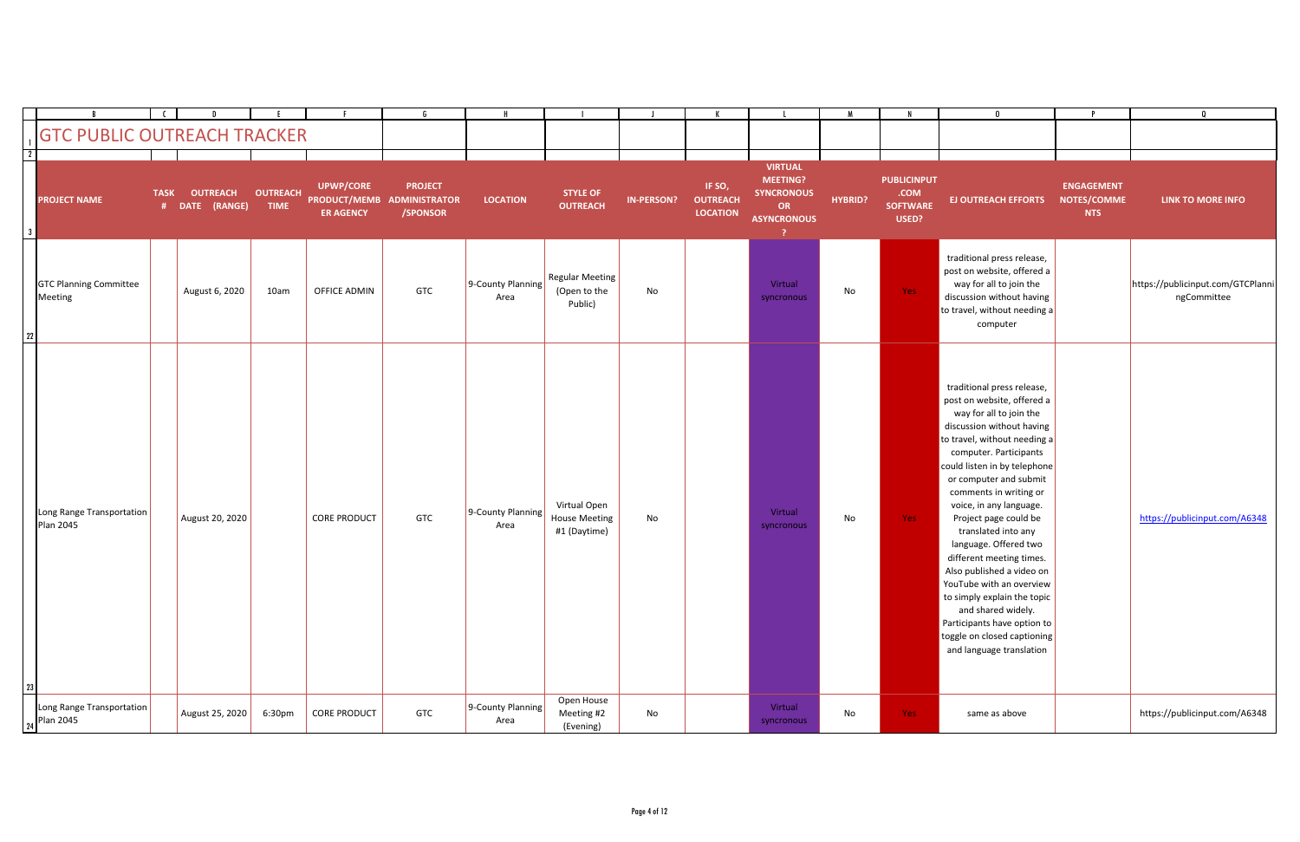|              | <b>GTC PUBLIC OUTREACH TRACKER</b>       |             |                                   |                                |                                      |                                                          |                           |                                                      |                   |                                              |                                                                                                 |         |                                                        | $\mathbf{0}$                                                                                                                                                                                                                                                                                                                                                                                                                                                                                                                                                                                           |                                                | - 0                                              |
|--------------|------------------------------------------|-------------|-----------------------------------|--------------------------------|--------------------------------------|----------------------------------------------------------|---------------------------|------------------------------------------------------|-------------------|----------------------------------------------|-------------------------------------------------------------------------------------------------|---------|--------------------------------------------------------|--------------------------------------------------------------------------------------------------------------------------------------------------------------------------------------------------------------------------------------------------------------------------------------------------------------------------------------------------------------------------------------------------------------------------------------------------------------------------------------------------------------------------------------------------------------------------------------------------------|------------------------------------------------|--------------------------------------------------|
| $\boxed{2}$  |                                          |             |                                   |                                |                                      |                                                          |                           |                                                      |                   |                                              |                                                                                                 |         |                                                        |                                                                                                                                                                                                                                                                                                                                                                                                                                                                                                                                                                                                        |                                                |                                                  |
| $\mathbf{3}$ | <b>PROJECT NAME</b>                      | <b>TASK</b> | <b>OUTREACH</b><br># DATE (RANGE) | <b>OUTREACH</b><br><b>TIME</b> | <b>UPWP/CORE</b><br><b>ER AGENCY</b> | <b>PROJECT</b><br>PRODUCT/MEMB ADMINISTRATOR<br>/SPONSOR | <b>LOCATION</b>           | <b>STYLE OF</b><br><b>OUTREACH</b>                   | <b>IN-PERSON?</b> | IF SO,<br><b>OUTREACH</b><br><b>LOCATION</b> | <b>VIRTUAL</b><br><b>MEETING?</b><br><b>SYNCRONOUS</b><br><b>OR</b><br><b>ASYNCRONOUS</b><br>-? | HYBRID? | <b>PUBLICINPUT</b><br>.COM<br><b>SOFTWARE</b><br>USED? | <b>EJ OUTREACH EFFORTS</b>                                                                                                                                                                                                                                                                                                                                                                                                                                                                                                                                                                             | <b>ENGAGEMENT</b><br>NOTES/COMME<br><b>NTS</b> | <b>LINK TO MORE INFO</b>                         |
| 22           | <b>GTC Planning Committee</b><br>Meeting |             | August 6, 2020                    | 10am                           | OFFICE ADMIN                         | <b>GTC</b>                                               | 9-County Planning<br>Area | Regular Meeting<br>(Open to the<br>Public)           | No                |                                              | Virtual<br>syncronous                                                                           | No      | Yes:                                                   | traditional press release,<br>post on website, offered a<br>way for all to join the<br>discussion without having<br>to travel, without needing a<br>computer                                                                                                                                                                                                                                                                                                                                                                                                                                           |                                                | https://publicinput.com/GTCPlanni<br>ngCommittee |
| 23           | Long Range Transportation<br>Plan 2045   |             | August 20, 2020                   |                                | <b>CORE PRODUCT</b>                  | GTC                                                      | 9-County Planning<br>Area | Virtual Open<br><b>House Meeting</b><br>#1 (Daytime) | No                |                                              | Virtual<br>syncronous                                                                           | No      | Yes:                                                   | traditional press release,<br>post on website, offered a<br>way for all to join the<br>discussion without having<br>to travel, without needing a<br>computer. Participants<br>could listen in by telephone<br>or computer and submit<br>comments in writing or<br>voice, in any language.<br>Project page could be<br>translated into any<br>language. Offered two<br>different meeting times.<br>Also published a video on<br>YouTube with an overview<br>to simply explain the topic<br>and shared widely.<br>Participants have option to<br>toggle on closed captioning<br>and language translation |                                                | https://publicinput.com/A6348                    |
|              | Long Range Transportation<br>Plan 2045   |             | August 25, 2020                   | 6:30pm                         | <b>CORE PRODUCT</b>                  | GTC                                                      | 9-County Planning<br>Area | Open House<br>Meeting #2<br>(Evening)                | No                |                                              | Virtual<br>syncronous                                                                           | No      | Yes:                                                   | same as above                                                                                                                                                                                                                                                                                                                                                                                                                                                                                                                                                                                          |                                                | https://publicinput.com/A6348                    |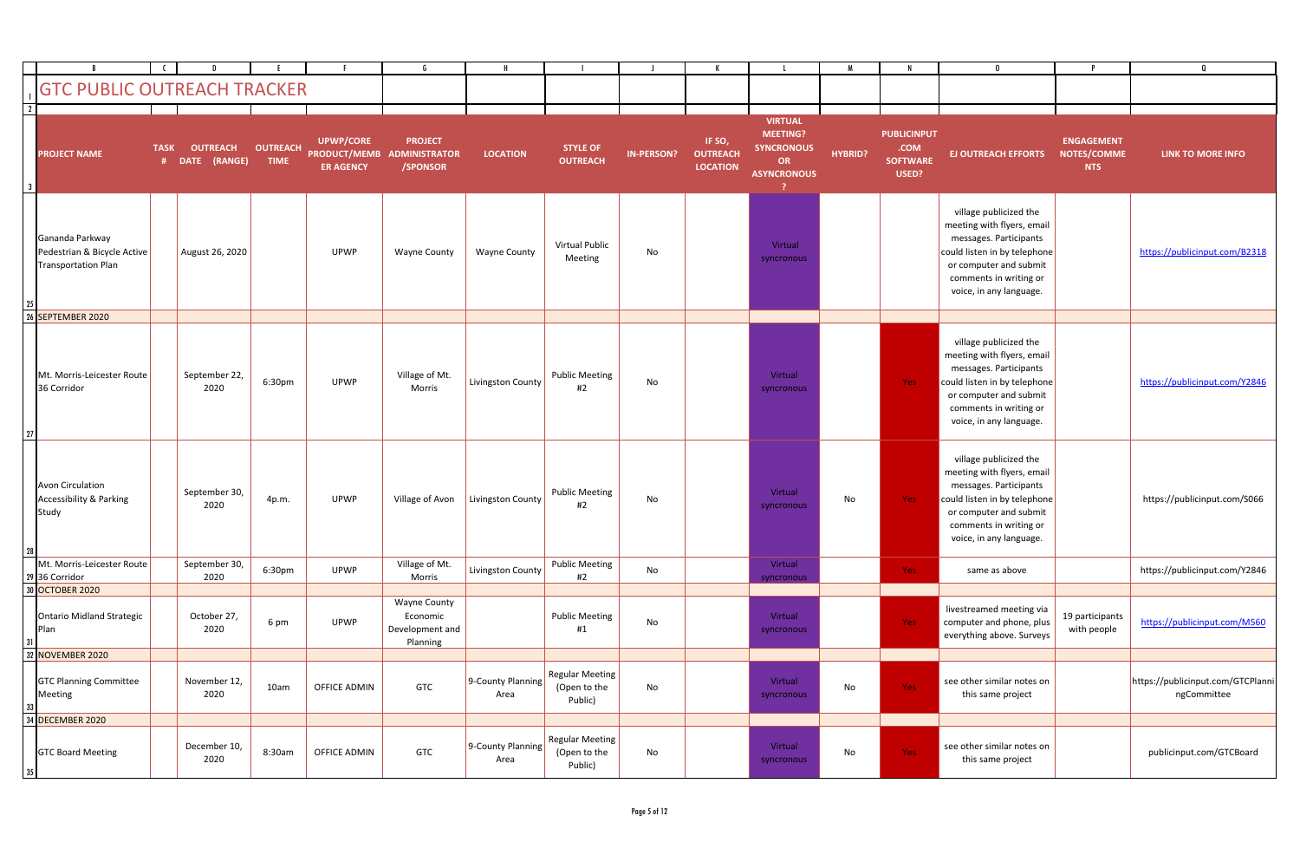|                               | <b>GTC PUBLIC OUTREACH TRACKER</b>                                    |             |                                   |                                |                                      |                                                                |                           |                                                   |                   |                                              |                                                                                                 |                |                                                        |                                                                                                                                                                                               |                                                |                                                  |
|-------------------------------|-----------------------------------------------------------------------|-------------|-----------------------------------|--------------------------------|--------------------------------------|----------------------------------------------------------------|---------------------------|---------------------------------------------------|-------------------|----------------------------------------------|-------------------------------------------------------------------------------------------------|----------------|--------------------------------------------------------|-----------------------------------------------------------------------------------------------------------------------------------------------------------------------------------------------|------------------------------------------------|--------------------------------------------------|
| $\overline{\mathbf{2}}$<br>-3 | <b>PROJECT NAME</b>                                                   | <b>TASK</b> | <b>OUTREACH</b><br># DATE (RANGE) | <b>OUTREACH</b><br><b>TIME</b> | <b>UPWP/CORE</b><br><b>ER AGENCY</b> | <b>PROJECT</b><br>PRODUCT/MEMB ADMINISTRATOR<br>/SPONSOR       | <b>LOCATION</b>           | <b>STYLE OF</b><br><b>OUTREACH</b>                | <b>IN-PERSON?</b> | IF SO,<br><b>OUTREACH</b><br><b>LOCATION</b> | <b>VIRTUAL</b><br><b>MEETING?</b><br><b>SYNCRONOUS</b><br><b>OR</b><br><b>ASYNCRONOUS</b><br>-2 | <b>HYBRID?</b> | <b>PUBLICINPUT</b><br>.COM<br><b>SOFTWARE</b><br>USED? | <b>EJ OUTREACH EFFORTS</b>                                                                                                                                                                    | <b>ENGAGEMENT</b><br>NOTES/COMME<br><b>NTS</b> | LINK TO MORE INFO                                |
|                               | Gananda Parkway<br>Pedestrian & Bicycle Active<br>Transportation Plan |             | August 26, 2020                   |                                | <b>UPWP</b>                          | <b>Wayne County</b>                                            | <b>Wayne County</b>       | <b>Virtual Public</b><br>Meeting                  | No                |                                              | Virtual<br>syncronous                                                                           |                |                                                        | village publicized the<br>meeting with flyers, email<br>messages. Participants<br>could listen in by telephone<br>or computer and submit<br>comments in writing or<br>voice, in any language. |                                                | https://publicinput.com/B2318                    |
|                               | 26 SEPTEMBER 2020                                                     |             |                                   |                                |                                      |                                                                |                           |                                                   |                   |                                              |                                                                                                 |                |                                                        |                                                                                                                                                                                               |                                                |                                                  |
| 27                            | Mt. Morris-Leicester Route<br>36 Corridor                             |             | September 22,<br>2020             | 6:30pm                         | <b>UPWP</b>                          | Village of Mt.<br>Morris                                       | Livingston County         | <b>Public Meeting</b><br>#2                       | No                |                                              | Virtual<br>syncronous                                                                           |                | Yes:                                                   | village publicized the<br>meeting with flyers, email<br>messages. Participants<br>could listen in by telephone<br>or computer and submit<br>comments in writing or<br>voice, in any language. |                                                | https://publicinput.com/Y2846                    |
| 28                            | Avon Circulation<br>Accessibility & Parking<br>Study                  |             | September 30,<br>2020             | 4p.m.                          | UPWP                                 | Village of Avon                                                | Livingston County         | <b>Public Meeting</b><br>#2                       | No                |                                              | Virtual<br>syncronous                                                                           | No             | Yes:                                                   | village publicized the<br>meeting with flyers, email<br>messages. Participants<br>could listen in by telephone<br>or computer and submit<br>comments in writing or<br>voice, in any language. |                                                | https://publicinput.com/S066                     |
|                               | Mt. Morris-Leicester Route<br>29 36 Corridor                          |             | September 30,<br>2020             | 6:30pm                         | <b>UPWP</b>                          | Village of Mt.<br>Morris                                       | Livingston County         | <b>Public Meeting</b><br>#2                       | No                |                                              | Virtual                                                                                         |                | Yes :                                                  | same as above                                                                                                                                                                                 |                                                | https://publicinput.com/Y2846                    |
|                               | 30 OCTOBER 2020                                                       |             |                                   |                                |                                      |                                                                |                           |                                                   |                   |                                              | syncronous                                                                                      |                |                                                        |                                                                                                                                                                                               |                                                |                                                  |
|                               | Ontario Midland Strategic<br>Plan                                     |             | October 27,<br>2020               | 6 pm                           | <b>UPWP</b>                          | <b>Wayne County</b><br>Economic<br>Development and<br>Planning |                           | <b>Public Meeting</b><br>#1                       | No                |                                              | Virtual<br>syncronous                                                                           |                | Yes:                                                   | livestreamed meeting via<br>computer and phone, plus<br>everything above. Surveys                                                                                                             | 19 participants<br>with people                 | https://publicinput.com/M560                     |
|                               | 32 NOVEMBER 2020                                                      |             |                                   |                                |                                      |                                                                |                           |                                                   |                   |                                              |                                                                                                 |                |                                                        |                                                                                                                                                                                               |                                                |                                                  |
| 33 J                          | <b>GTC Planning Committee</b><br>Meeting                              |             | November 12,<br>2020              | 10am                           | OFFICE ADMIN                         | GTC                                                            | 9-County Planning<br>Area | <b>Regular Meeting</b><br>(Open to the<br>Public) | No                |                                              | Virtual<br>syncronous                                                                           | No             | Yes:                                                   | see other similar notes on<br>this same project                                                                                                                                               |                                                | https://publicinput.com/GTCPlanni<br>ngCommittee |
|                               | 34 DECEMBER 2020                                                      |             |                                   |                                |                                      |                                                                |                           |                                                   |                   |                                              |                                                                                                 |                |                                                        |                                                                                                                                                                                               |                                                |                                                  |
| 35                            | <b>GTC Board Meeting</b>                                              |             | December 10,<br>2020              | 8:30am                         | OFFICE ADMIN                         | GTC                                                            | 9-County Planning<br>Area | <b>Regular Meeting</b><br>(Open to the<br>Public) | No                |                                              | Virtual<br>syncronous                                                                           | No             | Yes:                                                   | see other similar notes on<br>this same project                                                                                                                                               |                                                | publicinput.com/GTCBoard                         |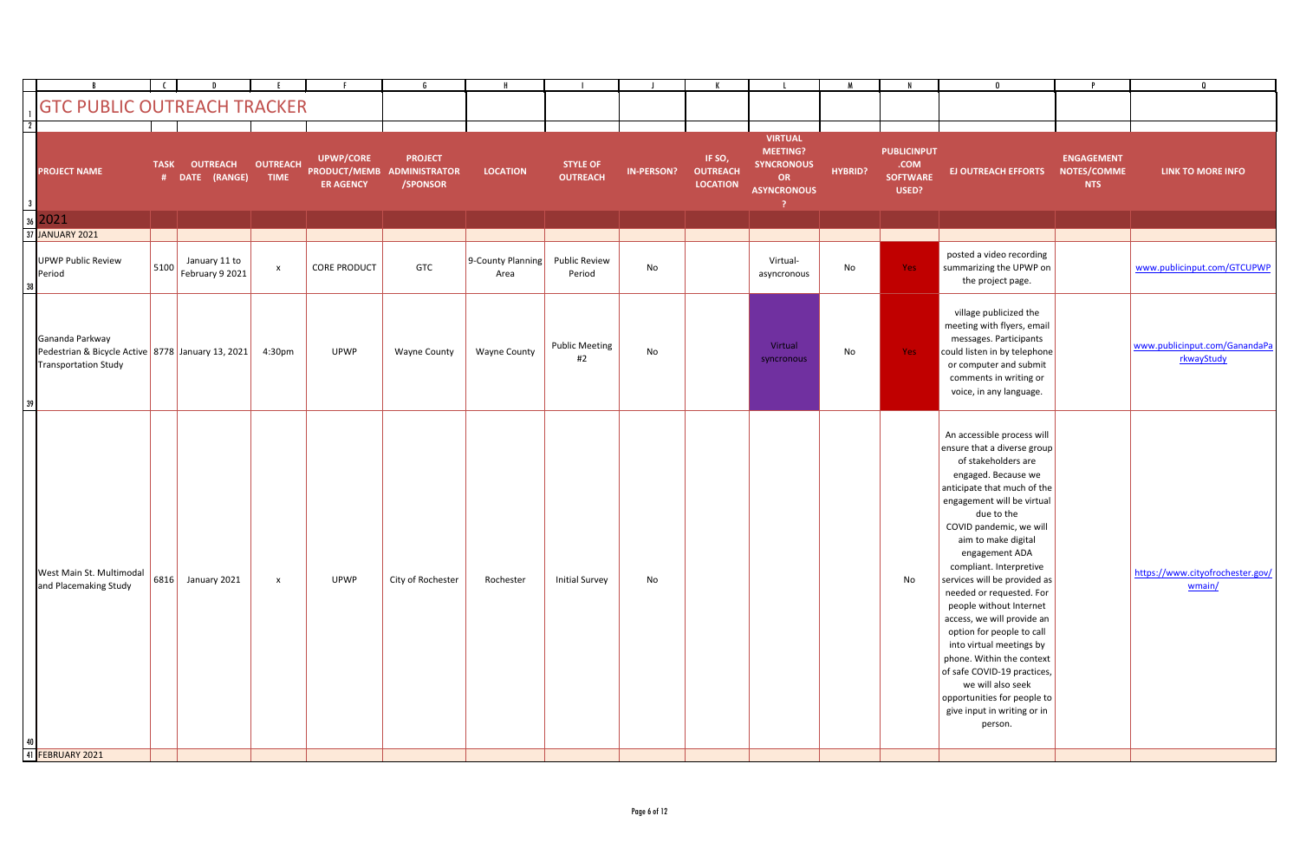|     | <b>GTC PUBLIC OUTREACH TRACKER</b>                                                           |             |                                   |                                |                                      |                                                          |                           |                                    |                   |                                              |                                                                             |                |                                                        |                                                                                                                                                                                                                                                                                                                                                                                                                                                                                                                                                                                                                           |                                                |                                             |
|-----|----------------------------------------------------------------------------------------------|-------------|-----------------------------------|--------------------------------|--------------------------------------|----------------------------------------------------------|---------------------------|------------------------------------|-------------------|----------------------------------------------|-----------------------------------------------------------------------------|----------------|--------------------------------------------------------|---------------------------------------------------------------------------------------------------------------------------------------------------------------------------------------------------------------------------------------------------------------------------------------------------------------------------------------------------------------------------------------------------------------------------------------------------------------------------------------------------------------------------------------------------------------------------------------------------------------------------|------------------------------------------------|---------------------------------------------|
| 3 I | <b>PROJECT NAME</b>                                                                          | <b>TASK</b> | <b>OUTREACH</b><br># DATE (RANGE) | <b>OUTREACH</b><br><b>TIME</b> | <b>UPWP/CORE</b><br><b>ER AGENCY</b> | <b>PROJECT</b><br>PRODUCT/MEMB ADMINISTRATOR<br>/SPONSOR | <b>LOCATION</b>           | <b>STYLE OF</b><br><b>OUTREACH</b> | <b>IN-PERSON?</b> | IF SO,<br><b>OUTREACH</b><br><b>LOCATION</b> | <b>VIRTUAL</b><br>MEETING?<br><b>SYNCRONOUS</b><br>OR<br><b>ASYNCRONOUS</b> | <b>HYBRID?</b> | <b>PUBLICINPUT</b><br>.COM<br><b>SOFTWARE</b><br>USED? | <b>EJ OUTREACH EFFORTS</b>                                                                                                                                                                                                                                                                                                                                                                                                                                                                                                                                                                                                | <b>ENGAGEMENT</b><br>NOTES/COMME<br><b>NTS</b> | <b>LINK TO MORE INFO</b>                    |
|     | $36$ 2021                                                                                    |             |                                   |                                |                                      |                                                          |                           |                                    |                   |                                              |                                                                             |                |                                                        |                                                                                                                                                                                                                                                                                                                                                                                                                                                                                                                                                                                                                           |                                                |                                             |
|     | 37 JANUARY 2021                                                                              |             |                                   |                                |                                      |                                                          |                           |                                    |                   |                                              |                                                                             |                |                                                        |                                                                                                                                                                                                                                                                                                                                                                                                                                                                                                                                                                                                                           |                                                |                                             |
|     | UPWP Public Review<br>Period                                                                 | 5100        | January 11 to<br>February 9 2021  | $\mathbf{x}$                   | <b>CORE PRODUCT</b>                  | <b>GTC</b>                                               | 9-County Planning<br>Area | <b>Public Review</b><br>Period     | No                |                                              | Virtual-<br>asyncronous                                                     | No             | Yes:                                                   | posted a video recording<br>summarizing the UPWP on<br>the project page.                                                                                                                                                                                                                                                                                                                                                                                                                                                                                                                                                  |                                                | www.publicinput.com/GTCUPWP                 |
| 39. | Gananda Parkway<br>Pedestrian & Bicycle Active 8778 January 13, 2021<br>Transportation Study |             |                                   | 4:30pm                         | <b>UPWP</b>                          | <b>Wayne County</b>                                      | <b>Wayne County</b>       | <b>Public Meeting</b><br>#2        | No                |                                              | Virtual<br>syncronous                                                       | No             | Yes                                                    | village publicized the<br>meeting with flyers, email<br>messages. Participants<br>could listen in by telephone<br>or computer and submit<br>comments in writing or<br>voice, in any language.                                                                                                                                                                                                                                                                                                                                                                                                                             |                                                | www.publicinput.com/GanandaPa<br>rkwayStudy |
|     | West Main St. Multimodal<br>and Placemaking Study                                            | $ 6816 $    | January 2021                      | $\mathsf{x}$                   | <b>UPWP</b>                          | City of Rochester                                        | Rochester                 | <b>Initial Survey</b>              | No                |                                              |                                                                             |                | No                                                     | An accessible process will<br>ensure that a diverse group<br>of stakeholders are<br>engaged. Because we<br>anticipate that much of the<br>engagement will be virtual<br>due to the<br>COVID pandemic, we will<br>aim to make digital<br>engagement ADA<br>compliant. Interpretive<br>services will be provided as<br>needed or requested. For<br>people without Internet<br>access, we will provide an<br>option for people to call<br>into virtual meetings by<br>phone. Within the context<br>of safe COVID-19 practices,<br>we will also seek<br>opportunities for people to<br>give input in writing or in<br>person. |                                                | https://www.cityofrochester.gov/<br>wmain/  |
|     | 41 FEBRUARY 2021                                                                             |             |                                   |                                |                                      |                                                          |                           |                                    |                   |                                              |                                                                             |                |                                                        |                                                                                                                                                                                                                                                                                                                                                                                                                                                                                                                                                                                                                           |                                                |                                             |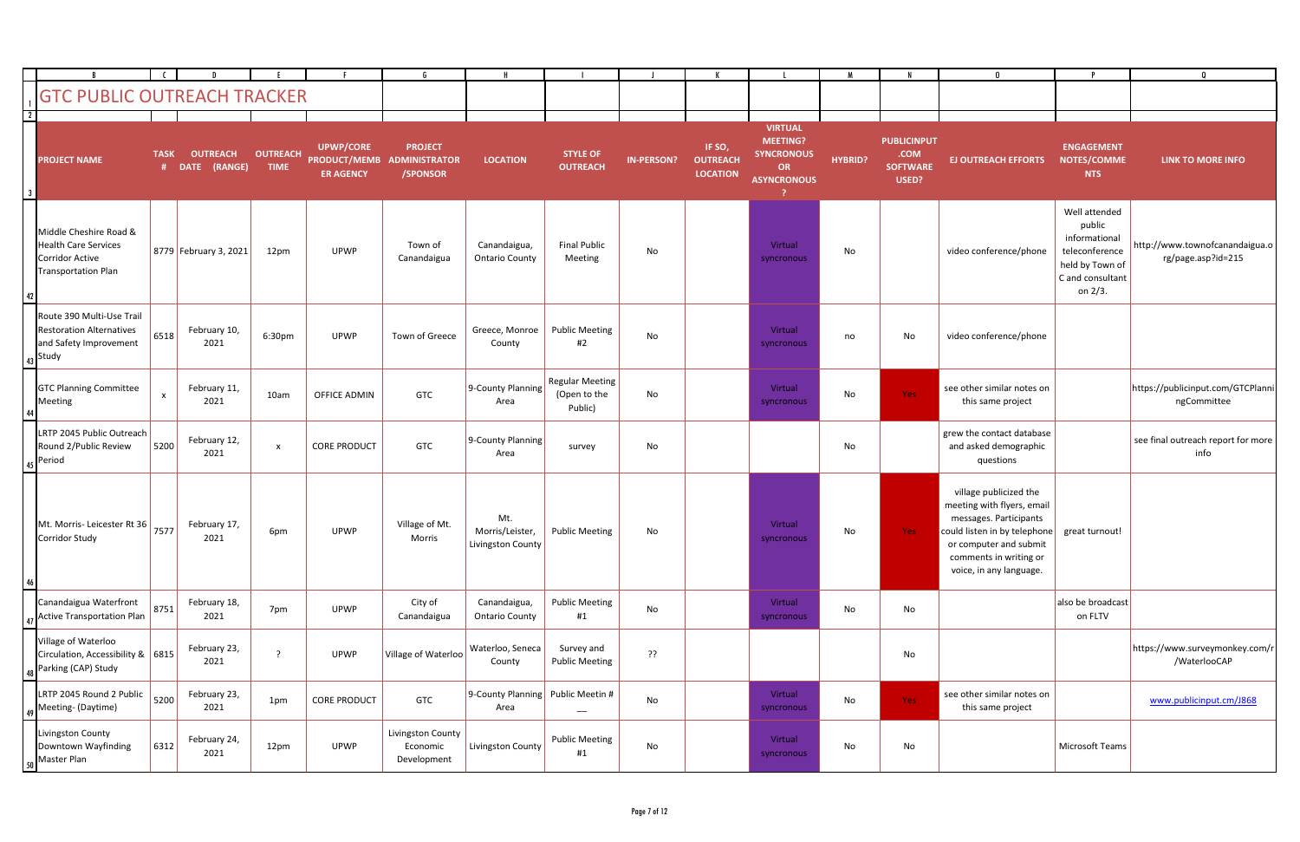|                         |                                                                                                               |                           |                                 |                                |                                                             |                                                    |                                             |                                                   |                   |                                              |                                                                                           |                |                                                        | $\mathbf{0}$                                                                                                                                                                                  | P                                                                                                            | 0                                                    |
|-------------------------|---------------------------------------------------------------------------------------------------------------|---------------------------|---------------------------------|--------------------------------|-------------------------------------------------------------|----------------------------------------------------|---------------------------------------------|---------------------------------------------------|-------------------|----------------------------------------------|-------------------------------------------------------------------------------------------|----------------|--------------------------------------------------------|-----------------------------------------------------------------------------------------------------------------------------------------------------------------------------------------------|--------------------------------------------------------------------------------------------------------------|------------------------------------------------------|
|                         | <b>GTC PUBLIC OUTREACH TRACKER</b>                                                                            |                           |                                 |                                |                                                             |                                                    |                                             |                                                   |                   |                                              |                                                                                           |                |                                                        |                                                                                                                                                                                               |                                                                                                              |                                                      |
| $\overline{\mathbf{3}}$ | <b>PROJECT NAME</b>                                                                                           | <b>TASK</b><br>#          | <b>OUTREACH</b><br>DATE (RANGE) | <b>OUTREACH</b><br><b>TIME</b> | <b>UPWP/CORE</b><br><b>PRODUCT/MEMB</b><br><b>ER AGENCY</b> | <b>PROJECT</b><br><b>ADMINISTRATOR</b><br>/SPONSOR | <b>LOCATION</b>                             | <b>STYLE OF</b><br><b>OUTREACH</b>                | <b>IN-PERSON?</b> | IF SO,<br><b>OUTREACH</b><br><b>LOCATION</b> | <b>VIRTUAL</b><br><b>MEETING?</b><br><b>SYNCRONOUS</b><br><b>OR</b><br><b>ASYNCRONOUS</b> | <b>HYBRID?</b> | <b>PUBLICINPUT</b><br>.COM<br><b>SOFTWARE</b><br>USED? | <b>EJ OUTREACH EFFORTS</b>                                                                                                                                                                    | <b>ENGAGEMENT</b><br>NOTES/COMME<br><b>NTS</b>                                                               | <b>LINK TO MORE INFO</b>                             |
|                         | Middle Cheshire Road &<br><b>Health Care Services</b><br><b>Corridor Active</b><br><b>Transportation Plan</b> |                           | 8779 February 3, 2021           | 12pm                           | <b>UPWP</b>                                                 | Town of<br>Canandaigua                             | Canandaigua,<br><b>Ontario County</b>       | <b>Final Public</b><br>Meeting                    | No                |                                              | Virtual<br>syncronous                                                                     | No             |                                                        | video conference/phone                                                                                                                                                                        | Well attended<br>public<br>informational<br>teleconference<br>held by Town of<br>C and consultant<br>on 2/3. | http://www.townofcanandaigua.o<br>rg/page.asp?id=215 |
|                         | Route 390 Multi-Use Trail<br><b>Restoration Alternatives</b><br>and Safety Improvement<br>$43$ Study          | 6518                      | February 10,<br>2021            | 6:30pm                         | <b>UPWP</b>                                                 | Town of Greece                                     | Greece, Monroe<br>County                    | <b>Public Meeting</b><br>#2                       | No                |                                              | Virtual<br>syncronous                                                                     | no             | No                                                     | video conference/phone                                                                                                                                                                        |                                                                                                              |                                                      |
|                         | <b>GTC Planning Committee</b><br>Meeting                                                                      | $\boldsymbol{\mathsf{x}}$ | February 11,<br>2021            | 10am                           | OFFICE ADMIN                                                | <b>GTC</b>                                         | 9-County Planning<br>Area                   | <b>Regular Meeting</b><br>(Open to the<br>Public) | No                |                                              | Virtual<br>syncronous                                                                     | No             | Yes:                                                   | see other similar notes on<br>this same project                                                                                                                                               |                                                                                                              | https://publicinput.com/GTCPlanni<br>ngCommittee     |
|                         | LRTP 2045 Public Outreach<br>Round 2/Public Review<br>Period                                                  | 5200                      | February 12,<br>2021            | $\boldsymbol{\mathsf{x}}$      | <b>CORE PRODUCT</b>                                         | <b>GTC</b>                                         | 9-County Planning<br>Area                   | survey                                            | No                |                                              |                                                                                           | No             |                                                        | grew the contact database<br>and asked demographic<br>questions                                                                                                                               |                                                                                                              | see final outreach report for more<br>info           |
|                         | Mt. Morris- Leicester Rt 36 7577<br>Corridor Study                                                            |                           | February 17,<br>2021            | 6pm                            | <b>UPWP</b>                                                 | Village of Mt.<br>Morris                           | Mt.<br>Morris/Leister,<br>Livingston County | <b>Public Meeting</b>                             | No                |                                              | Virtual<br>syncronous                                                                     | No             | Yes:                                                   | village publicized the<br>meeting with flyers, email<br>messages. Participants<br>could listen in by telephone<br>or computer and submit<br>comments in writing or<br>voice, in any language. | great turnout!                                                                                               |                                                      |
|                         | Canandaigua Waterfront<br><b>Active Transportation Plan</b>                                                   | 8751                      | February 18,<br>2021            | 7pm                            | UPWP                                                        | City of<br>Canandaigua                             | Canandaigua,<br><b>Ontario County</b>       | <b>Public Meeting</b><br>#1                       | No                |                                              | Virtual<br>syncronous                                                                     | No             | No                                                     |                                                                                                                                                                                               | also be broadcast<br>on FLTV                                                                                 |                                                      |
|                         | Village of Waterloo<br>Circulation, Accessibility & 6815<br>Parking (CAP) Study                               |                           | February 23,<br>2021            | $\cdot$ ?                      | <b>UPWP</b>                                                 | Village of Waterloo                                | Waterloo, Seneca<br>County                  | Survey and<br><b>Public Meeting</b>               | ??                |                                              |                                                                                           |                | No                                                     |                                                                                                                                                                                               |                                                                                                              | https://www.surveymonkey.com/r<br>/WaterlooCAP       |
|                         | LRTP 2045 Round 2 Public<br>Meeting- (Daytime)                                                                | 5200                      | February 23,<br>2021            | 1pm                            | <b>CORE PRODUCT</b>                                         | GTC                                                | 9-County Planning Public Meetin #<br>Area   | $\qquad \qquad -$                                 | No                |                                              | Virtual<br>syncronous                                                                     | No             | Yes:                                                   | see other similar notes on<br>this same project                                                                                                                                               |                                                                                                              | www.publicinput.cm/J868                              |
|                         | Livingston County<br>Downtown Wayfinding<br>Master Plan                                                       | 6312                      | February 24,<br>2021            | 12pm                           | <b>UPWP</b>                                                 | Livingston County<br>Economic<br>Development       | Livingston County                           | <b>Public Meeting</b><br>#1                       | No                |                                              | Virtual<br>syncronous                                                                     | No             | No                                                     |                                                                                                                                                                                               | Microsoft Teams                                                                                              |                                                      |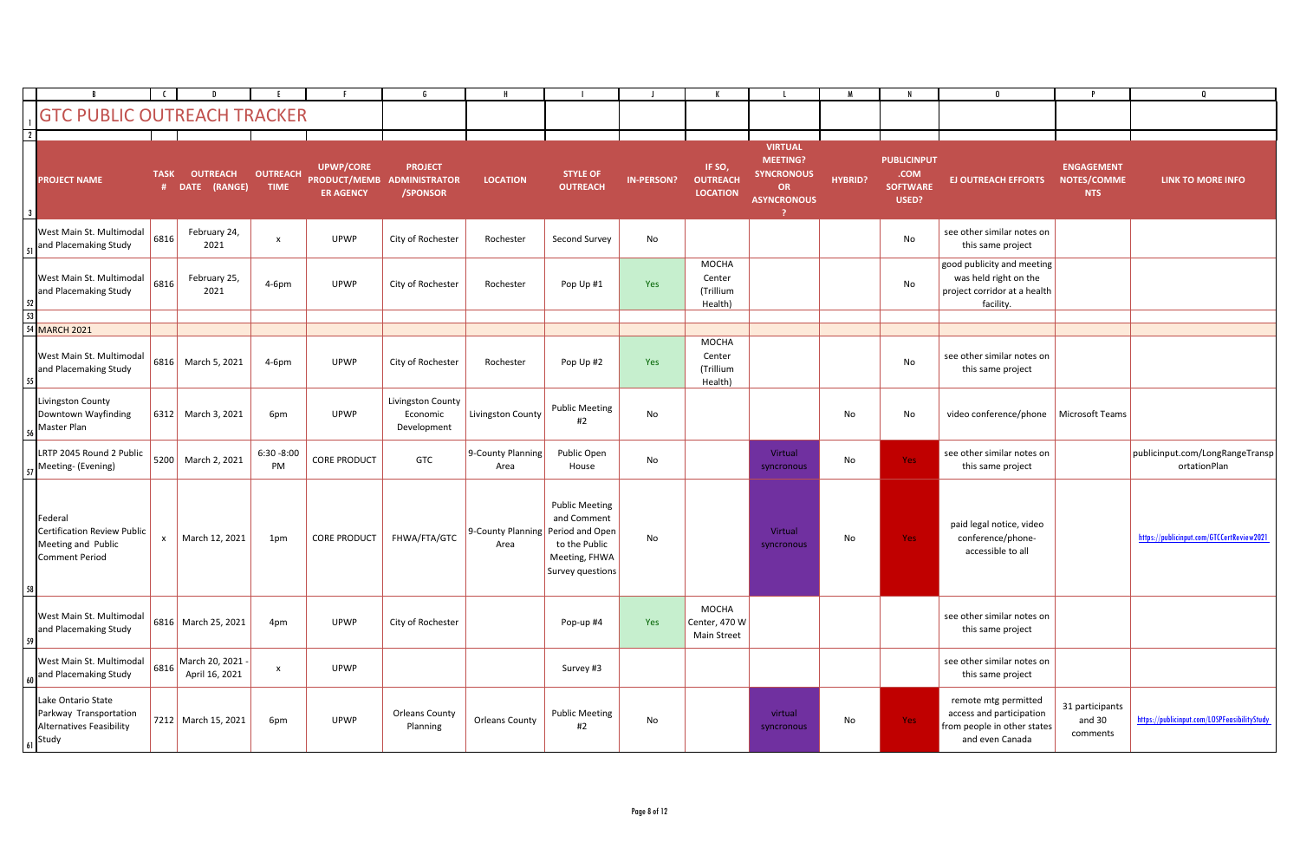|                |                                                                                        |             |                                    |                                |                                      |                                                          |                           |                                                                                                               |                   |                                                |                                                                                           |                |                                                        | $\mathbf{0}$                                                                                       |                                                | $\Omega$                                        |
|----------------|----------------------------------------------------------------------------------------|-------------|------------------------------------|--------------------------------|--------------------------------------|----------------------------------------------------------|---------------------------|---------------------------------------------------------------------------------------------------------------|-------------------|------------------------------------------------|-------------------------------------------------------------------------------------------|----------------|--------------------------------------------------------|----------------------------------------------------------------------------------------------------|------------------------------------------------|-------------------------------------------------|
|                | <b>GTC PUBLIC OUTREACH TRACKER</b>                                                     |             |                                    |                                |                                      |                                                          |                           |                                                                                                               |                   |                                                |                                                                                           |                |                                                        |                                                                                                    |                                                |                                                 |
| $\overline{2}$ |                                                                                        |             |                                    |                                |                                      |                                                          |                           |                                                                                                               |                   |                                                |                                                                                           |                |                                                        |                                                                                                    |                                                |                                                 |
|                | <b>PROJECT NAME</b>                                                                    | <b>TASK</b> | <b>OUTREACH</b><br># DATE (RANGE)  | <b>OUTREACH</b><br><b>TIME</b> | <b>UPWP/CORE</b><br><b>ER AGENCY</b> | <b>PROJECT</b><br>PRODUCT/MEMB ADMINISTRATOR<br>/SPONSOR | <b>LOCATION</b>           | <b>STYLE OF</b><br><b>OUTREACH</b>                                                                            | <b>IN-PERSON?</b> | IF SO,<br><b>OUTREACH</b><br><b>LOCATION</b>   | <b>VIRTUAL</b><br><b>MEETING?</b><br><b>SYNCRONOUS</b><br><b>OR</b><br><b>ASYNCRONOUS</b> | <b>HYBRID?</b> | <b>PUBLICINPUT</b><br>.COM<br><b>SOFTWARE</b><br>USED? | <b>EJ OUTREACH EFFORTS</b>                                                                         | <b>ENGAGEMENT</b><br>NOTES/COMME<br><b>NTS</b> | <b>LINK TO MORE INFO</b>                        |
|                | West Main St. Multimodal<br>and Placemaking Study                                      | 6816        | February 24,<br>2021               | $\mathsf{x}$                   | <b>UPWP</b>                          | City of Rochester                                        | Rochester                 | Second Survey                                                                                                 | No                |                                                |                                                                                           |                | No                                                     | see other similar notes on<br>this same project                                                    |                                                |                                                 |
| 52 I           | West Main St. Multimodal<br>and Placemaking Study                                      | 6816        | February 25,<br>2021               | $4-6pm$                        | <b>UPWP</b>                          | City of Rochester                                        | Rochester                 | Pop Up #1                                                                                                     | Yes               | <b>MOCHA</b><br>Center<br>(Trillium<br>Health) |                                                                                           |                | No                                                     | good publicity and meeting<br>was held right on the<br>project corridor at a health<br>facility.   |                                                |                                                 |
| 53             |                                                                                        |             |                                    |                                |                                      |                                                          |                           |                                                                                                               |                   |                                                |                                                                                           |                |                                                        |                                                                                                    |                                                |                                                 |
|                | <b>54 MARCH 2021</b>                                                                   |             |                                    |                                |                                      |                                                          |                           |                                                                                                               |                   |                                                |                                                                                           |                |                                                        |                                                                                                    |                                                |                                                 |
|                | West Main St. Multimodal<br>and Placemaking Study                                      | 6816        | March 5, 2021                      | $4-6pm$                        | <b>UPWP</b>                          | City of Rochester                                        | Rochester                 | Pop Up #2                                                                                                     | Yes               | <b>MOCHA</b><br>Center<br>(Trillium<br>Health) |                                                                                           |                | No                                                     | see other similar notes on<br>this same project                                                    |                                                |                                                 |
|                | Livingston County<br>Downtown Wayfinding<br>56 Master Plan                             | 6312        | March 3, 2021                      | 6pm                            | <b>UPWP</b>                          | Livingston County<br>Economic<br>Development             | Livingston County         | <b>Public Meeting</b><br>#2                                                                                   | No                |                                                |                                                                                           | No             | No                                                     | video conference/phone   Microsoft Teams                                                           |                                                |                                                 |
|                | LRTP 2045 Round 2 Public<br>57 Meeting- (Evening)                                      | 5200        | March 2, 2021                      | $6:30 - 8:00$<br>PM            | <b>CORE PRODUCT</b>                  | GTC                                                      | 9-County Planning<br>Area | Public Open<br>House                                                                                          | No                |                                                | Virtual<br>syncronous                                                                     | No             | Yes                                                    | see other similar notes on<br>this same project                                                    |                                                | publicinput.com/LongRangeTransp<br>ortationPlan |
| 58             | Federal<br>Certification Review Public<br>Meeting and Public<br>Comment Period         | X           | March 12, 2021                     | 1pm                            | <b>CORE PRODUCT</b>                  | FHWA/FTA/GTC                                             | 9-County Planning<br>Area | <b>Public Meeting</b><br>and Comment<br>Period and Open<br>to the Public<br>Meeting, FHWA<br>Survey questions | No                |                                                | Virtual<br>syncronous                                                                     | No             | Yes:                                                   | paid legal notice, video<br>conference/phone-<br>accessible to all                                 |                                                | https://publicinput.com/GTCCertReview2021       |
| 59             | West Main St. Multimodal<br>and Placemaking Study                                      |             | 6816 March 25, 2021                | 4pm                            | <b>UPWP</b>                          | City of Rochester                                        |                           | Pop-up #4                                                                                                     | Yes               | <b>MOCHA</b><br>Center, 470 W<br>Main Street   |                                                                                           |                |                                                        | see other similar notes on<br>this same project                                                    |                                                |                                                 |
|                | West Main St. Multimodal<br>60 and Placemaking Study                                   | 6816        | March 20, 2021 -<br>April 16, 2021 | $\mathbf{x}$                   | <b>UPWP</b>                          |                                                          |                           | Survey #3                                                                                                     |                   |                                                |                                                                                           |                |                                                        | see other similar notes on<br>this same project                                                    |                                                |                                                 |
|                | Lake Ontario State<br>Parkway Transportation<br>Alternatives Feasibility<br>$61$ Study |             | 7212 March 15, 2021                | 6pm                            | <b>UPWP</b>                          | <b>Orleans County</b><br>Planning                        | <b>Orleans County</b>     | <b>Public Meeting</b><br>#2                                                                                   | No                |                                                | virtual<br>syncronous                                                                     | No             | Yes                                                    | remote mtg permitted<br>access and participation<br>from people in other states<br>and even Canada | 31 participants<br>and 30<br>comments          | https://publicinput.com/LOSPFeasibilityStudy    |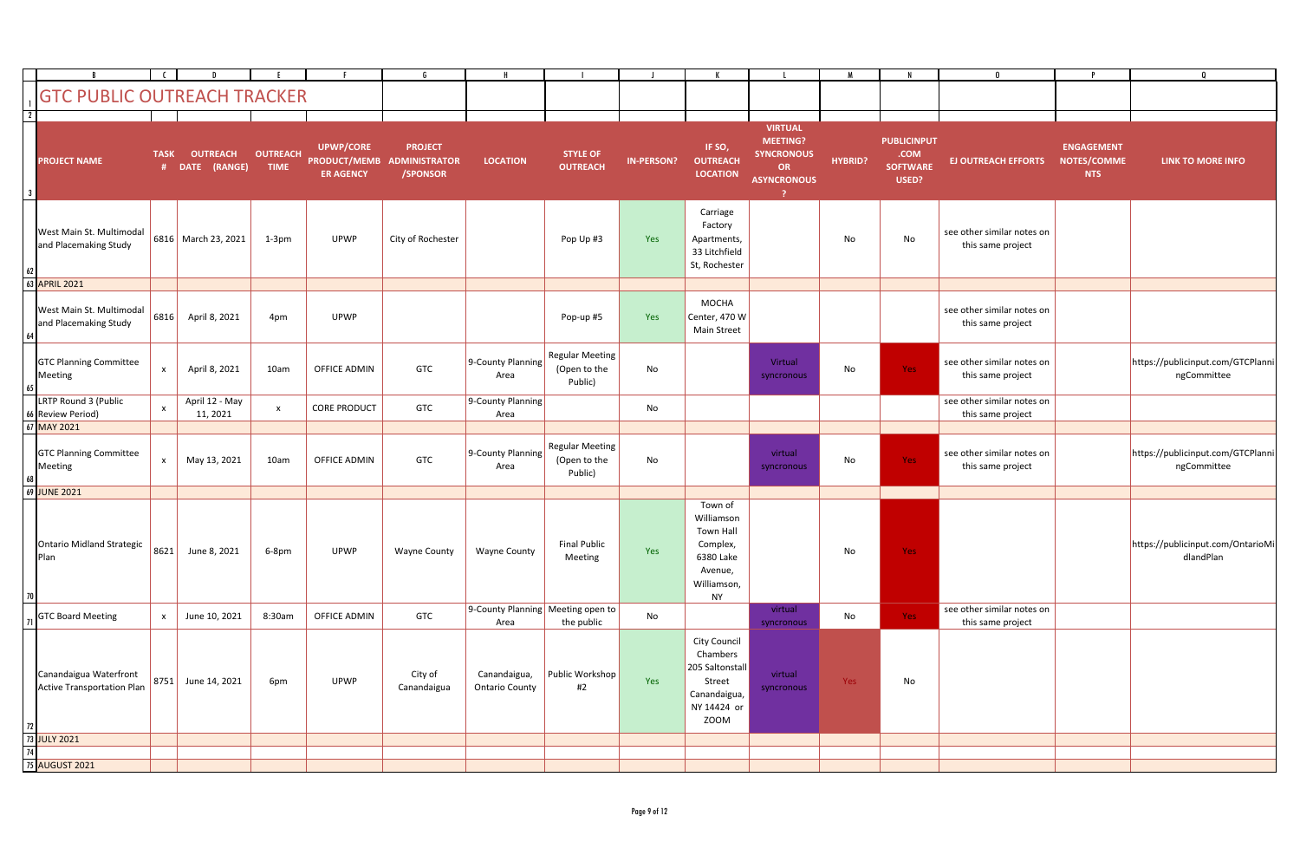|                             |                                                      |              |                                   |                                |                                      |                                                          |                                           |                                                   |                   |                                                                                                           |                                                                                           |                |                                                        | $\mathbf{0}$                                    |                                                | $\Omega$                                         |
|-----------------------------|------------------------------------------------------|--------------|-----------------------------------|--------------------------------|--------------------------------------|----------------------------------------------------------|-------------------------------------------|---------------------------------------------------|-------------------|-----------------------------------------------------------------------------------------------------------|-------------------------------------------------------------------------------------------|----------------|--------------------------------------------------------|-------------------------------------------------|------------------------------------------------|--------------------------------------------------|
|                             | <b>GTC PUBLIC OUTREACH TRACKER</b>                   |              |                                   |                                |                                      |                                                          |                                           |                                                   |                   |                                                                                                           |                                                                                           |                |                                                        |                                                 |                                                |                                                  |
| $\overline{2}$<br>$\cdot$ 3 | <b>PROJECT NAME</b>                                  | <b>TASK</b>  | <b>OUTREACH</b><br># DATE (RANGE) | <b>OUTREACH</b><br><b>TIME</b> | <b>UPWP/CORE</b><br><b>ER AGENCY</b> | <b>PROJECT</b><br>PRODUCT/MEMB ADMINISTRATOR<br>/SPONSOR | <b>LOCATION</b>                           | <b>STYLE OF</b><br><b>OUTREACH</b>                | <b>IN-PERSON?</b> | IF SO,<br><b>OUTREACH</b><br><b>LOCATION</b>                                                              | <b>VIRTUAL</b><br><b>MEETING?</b><br><b>SYNCRONOUS</b><br><b>OR</b><br><b>ASYNCRONOUS</b> | <b>HYBRID?</b> | <b>PUBLICINPUT</b><br>.COM<br><b>SOFTWARE</b><br>USED? | <b>EJ OUTREACH EFFORTS</b>                      | <b>ENGAGEMENT</b><br>NOTES/COMME<br><b>NTS</b> | <b>LINK TO MORE INFO</b>                         |
| 62                          | West Main St. Multimodal<br>and Placemaking Study    |              | 6816 March 23, 2021               | $1-3pm$                        | <b>UPWP</b>                          | City of Rochester                                        |                                           | Pop Up #3                                         | Yes               | Carriage<br>Factory<br>Apartments,<br>33 Litchfield<br>St, Rochester                                      |                                                                                           | No             | No                                                     | see other similar notes on<br>this same project |                                                |                                                  |
|                             | 63 APRIL 2021                                        |              |                                   |                                |                                      |                                                          |                                           |                                                   |                   |                                                                                                           |                                                                                           |                |                                                        |                                                 |                                                |                                                  |
| <b>64</b>                   | West Main St. Multimodal<br>and Placemaking Study    | 6816         | April 8, 2021                     | 4pm                            | UPWP                                 |                                                          |                                           | Pop-up #5                                         | Yes               | <b>MOCHA</b><br>Center, 470 W<br><b>Main Street</b>                                                       |                                                                                           |                |                                                        | see other similar notes on<br>this same project |                                                |                                                  |
| 65                          | <b>GTC Planning Committee</b><br>Meeting             | $\mathsf{x}$ | April 8, 2021                     | 10am                           | OFFICE ADMIN                         | <b>GTC</b>                                               | 9-County Planning<br>Area                 | <b>Regular Meeting</b><br>(Open to the<br>Public) | No                |                                                                                                           | Virtual<br>syncronous                                                                     | No             | Yes:                                                   | see other similar notes on<br>this same project |                                                | https://publicinput.com/GTCPlanni<br>ngCommittee |
|                             | LRTP Round 3 (Public<br>66 Review Period)            | $\mathsf{x}$ | April 12 - May<br>11, 2021        | $\mathsf{X}$                   | <b>CORE PRODUCT</b>                  | GTC                                                      | 9-County Planning<br>Area                 |                                                   | No                |                                                                                                           |                                                                                           |                |                                                        | see other similar notes on<br>this same project |                                                |                                                  |
|                             | 67 MAY 2021                                          |              |                                   |                                |                                      |                                                          |                                           |                                                   |                   |                                                                                                           |                                                                                           |                |                                                        |                                                 |                                                |                                                  |
|                             | <b>GTC Planning Committee</b><br>Meeting             | $\mathsf{x}$ | May 13, 2021                      | 10am                           | OFFICE ADMIN                         | <b>GTC</b>                                               | 9-County Planning<br>Area                 | <b>Regular Meeting</b><br>(Open to the<br>Public) | No                |                                                                                                           | virtual<br>syncronous                                                                     | No             | Yes:                                                   | see other similar notes on<br>this same project |                                                | https://publicinput.com/GTCPlanni<br>ngCommittee |
|                             | 69 JUNE 2021                                         |              |                                   |                                |                                      |                                                          |                                           |                                                   |                   |                                                                                                           |                                                                                           |                |                                                        |                                                 |                                                |                                                  |
| 70                          | <b>Ontario Midland Strategic</b><br>Plan             | 8621         | June 8, 2021                      | 6-8pm                          | <b>UPWP</b>                          | Wayne County                                             | Wayne County                              | <b>Final Public</b><br>Meeting                    | Yes               | Town of<br>Williamson<br><b>Town Hall</b><br>Complex,<br>6380 Lake<br>Avenue,<br>Williamson,<br><b>NY</b> |                                                                                           | No             | Yes:                                                   |                                                 |                                                | https://publicinput.com/OntarioMi<br>dlandPlan   |
|                             | <b>GTC Board Meeting</b>                             | $\mathsf{x}$ | June 10, 2021                     | 8:30am                         | OFFICE ADMIN                         | <b>GTC</b>                                               | 9-County Planning Meeting open to<br>Area | the public                                        | No                |                                                                                                           | virtual<br>syncronous                                                                     | No             | Yes:                                                   | see other similar notes on<br>this same project |                                                |                                                  |
| 72                          | Canandaigua Waterfront<br>Active Transportation Plan | 8751         | June 14, 2021                     | 6pm                            | UPWP                                 | City of<br>Canandaigua                                   | Canandaigua,<br><b>Ontario County</b>     | Public Workshop<br>#2                             | Yes               | City Council<br>Chambers<br>205 Saltonstall<br>Street<br>Canandaigua,<br>NY 14424 or<br>ZOOM              | virtual<br>syncronous                                                                     | Yes            | No                                                     |                                                 |                                                |                                                  |
|                             | 73 JULY 2021                                         |              |                                   |                                |                                      |                                                          |                                           |                                                   |                   |                                                                                                           |                                                                                           |                |                                                        |                                                 |                                                |                                                  |
| 74                          | 75 AUGUST 2021                                       |              |                                   |                                |                                      |                                                          |                                           |                                                   |                   |                                                                                                           |                                                                                           |                |                                                        |                                                 |                                                |                                                  |
|                             |                                                      |              |                                   |                                |                                      |                                                          |                                           |                                                   |                   |                                                                                                           |                                                                                           |                |                                                        |                                                 |                                                |                                                  |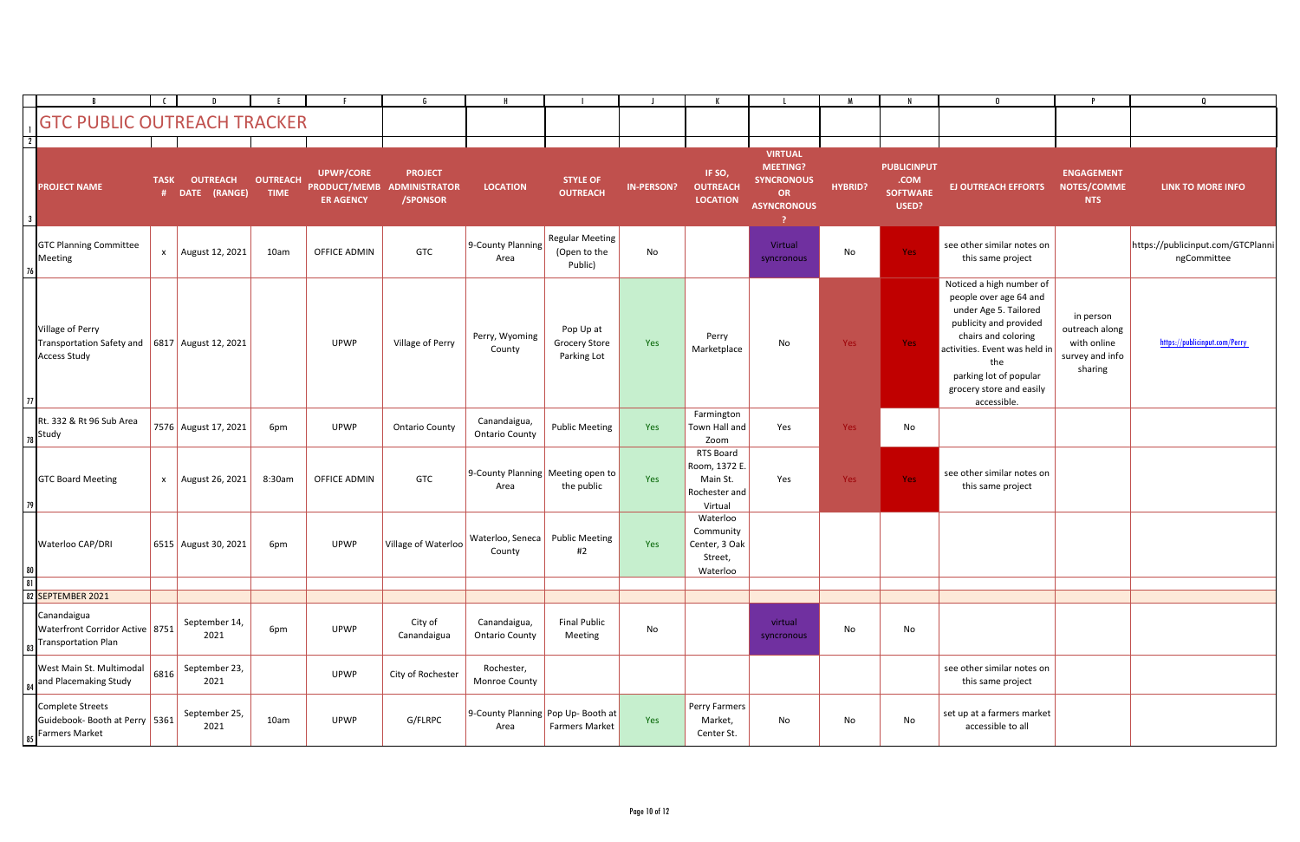|                 |                                                                          |              |                                   |                                |                                      |                                                          |                                             |                                                   |                   |                                                                    |                                                                                                  |                |                                                        | $\mathbf{0}$                                                                                                                                                                                                                              |                                                                          | $\Omega$                                         |
|-----------------|--------------------------------------------------------------------------|--------------|-----------------------------------|--------------------------------|--------------------------------------|----------------------------------------------------------|---------------------------------------------|---------------------------------------------------|-------------------|--------------------------------------------------------------------|--------------------------------------------------------------------------------------------------|----------------|--------------------------------------------------------|-------------------------------------------------------------------------------------------------------------------------------------------------------------------------------------------------------------------------------------------|--------------------------------------------------------------------------|--------------------------------------------------|
|                 | <b>GTC PUBLIC OUTREACH TRACKER</b>                                       |              |                                   |                                |                                      |                                                          |                                             |                                                   |                   |                                                                    |                                                                                                  |                |                                                        |                                                                                                                                                                                                                                           |                                                                          |                                                  |
| $\overline{2}$  |                                                                          |              |                                   |                                |                                      |                                                          |                                             |                                                   |                   |                                                                    |                                                                                                  |                |                                                        |                                                                                                                                                                                                                                           |                                                                          |                                                  |
|                 | <b>PROJECT NAME</b>                                                      | <b>TASK</b>  | <b>OUTREACH</b><br># DATE (RANGE) | <b>OUTREACH</b><br><b>TIME</b> | <b>UPWP/CORE</b><br><b>ER AGENCY</b> | <b>PROJECT</b><br>PRODUCT/MEMB ADMINISTRATOR<br>/SPONSOR | <b>LOCATION</b>                             | <b>STYLE OF</b><br><b>OUTREACH</b>                | <b>IN-PERSON?</b> | IF SO,<br><b>OUTREACH</b><br><b>LOCATION</b>                       | <b>VIRTUAL</b><br><b>MEETING?</b><br><b>SYNCRONOUS</b><br><b>OR</b><br><b>ASYNCRONOUS</b><br>- 2 | <b>HYBRID?</b> | <b>PUBLICINPUT</b><br>.COM<br><b>SOFTWARE</b><br>USED? | <b>EJ OUTREACH EFFORTS</b>                                                                                                                                                                                                                | <b>ENGAGEMENT</b><br>NOTES/COMME<br><b>NTS</b>                           | LINK TO MORE INFO                                |
|                 | <b>GTC Planning Committee</b><br>Meeting                                 | $\mathsf{x}$ | August 12, 2021                   | 10am                           | <b>OFFICE ADMIN</b>                  | <b>GTC</b>                                               | 9-County Planning<br>Area                   | <b>Regular Meeting</b><br>(Open to the<br>Public) | No                |                                                                    | Virtual<br>syncronous                                                                            | No             | Yes                                                    | see other similar notes on<br>this same project                                                                                                                                                                                           |                                                                          | https://publicinput.com/GTCPlanni<br>ngCommittee |
|                 | Village of Perry<br>Transportation Safety and<br>Access Study            |              | 6817 August 12, 2021              |                                | <b>UPWP</b>                          | Village of Perry                                         | Perry, Wyoming<br>County                    | Pop Up at<br><b>Grocery Store</b><br>Parking Lot  | Yes               | Perry<br>Marketplace                                               | <b>No</b>                                                                                        | Yes            | Yes                                                    | Noticed a high number of<br>people over age 64 and<br>under Age 5. Tailored<br>publicity and provided<br>chairs and coloring<br>activities. Event was held in<br>the<br>parking lot of popular<br>grocery store and easily<br>accessible. | in person<br>outreach along<br>with online<br>survey and info<br>sharing | https://publicinput.com/Perry                    |
|                 | Rt. 332 & Rt 96 Sub Area<br>$_{78}$ Study                                |              | 7576 August 17, 2021              | 6pm                            | <b>UPWP</b>                          | <b>Ontario County</b>                                    | Canandaigua,<br><b>Ontario County</b>       | <b>Public Meeting</b>                             | Yes               | Farmington<br>Town Hall and<br>Zoom                                | Yes                                                                                              | Yes            | No                                                     |                                                                                                                                                                                                                                           |                                                                          |                                                  |
|                 | <b>GTC Board Meeting</b>                                                 |              | x   August 26, 2021               | 8:30am                         | <b>OFFICE ADMIN</b>                  | GTC                                                      | 9-County Planning Meeting open to<br>Area   | the public                                        | Yes               | RTS Board<br>Room, 1372 E.<br>Main St.<br>Rochester and<br>Virtual | Yes                                                                                              | Yes            | Yes                                                    | see other similar notes on<br>this same project                                                                                                                                                                                           |                                                                          |                                                  |
|                 | Waterloo CAP/DRI                                                         |              | 6515 August 30, 2021              | 6pm                            | <b>UPWP</b>                          | Village of Waterloo                                      | Waterloo, Seneca   Public Meeting<br>County | #2                                                | Yes               | Waterloo<br>Community<br>Center, 3 Oak<br>Street,<br>Waterloo      |                                                                                                  |                |                                                        |                                                                                                                                                                                                                                           |                                                                          |                                                  |
| $\overline{81}$ |                                                                          |              |                                   |                                |                                      |                                                          |                                             |                                                   |                   |                                                                    |                                                                                                  |                |                                                        |                                                                                                                                                                                                                                           |                                                                          |                                                  |
|                 | 82 SEPTEMBER 2021                                                        |              |                                   |                                |                                      |                                                          |                                             |                                                   |                   |                                                                    |                                                                                                  |                |                                                        |                                                                                                                                                                                                                                           |                                                                          |                                                  |
|                 | Canandaigua<br>Waterfront Corridor Active 8751<br>83 Transportation Plan |              | September 14,<br>2021             | 6pm                            | <b>UPWP</b>                          | City of<br>Canandaigua                                   | Canandaigua,<br><b>Ontario County</b>       | <b>Final Public</b><br>Meeting                    | No                |                                                                    | virtual<br>syncronous                                                                            | No             | No                                                     |                                                                                                                                                                                                                                           |                                                                          |                                                  |
|                 | West Main St. Multimodal<br>84 and Placemaking Study                     | 6816         | September 23,<br>2021             |                                | <b>UPWP</b>                          | City of Rochester                                        | Rochester,<br>Monroe County                 |                                                   |                   |                                                                    |                                                                                                  |                |                                                        | see other similar notes on<br>this same project                                                                                                                                                                                           |                                                                          |                                                  |
|                 | Complete Streets<br>Guidebook- Booth at Perry 5361<br>85 Farmers Market  |              | September 25,<br>2021             | 10am                           | <b>UPWP</b>                          | G/FLRPC                                                  | 9-County Planning Pop Up- Booth at<br>Area  | Farmers Market                                    | Yes               | Perry Farmers<br>Market,<br>Center St.                             | No                                                                                               | No             | No                                                     | set up at a farmers market<br>accessible to all                                                                                                                                                                                           |                                                                          |                                                  |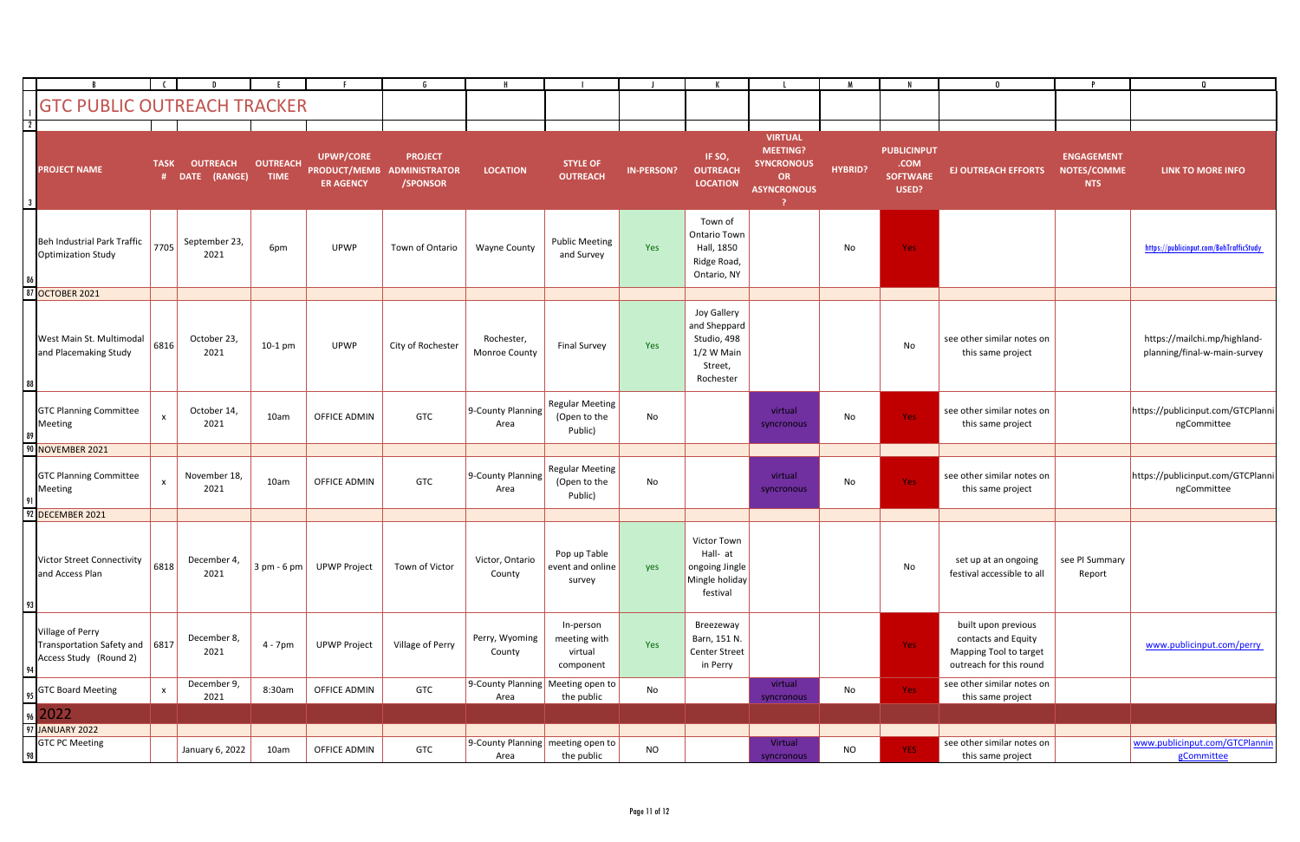|                                           |                                                                              |                           |                                   |                                |                                      |                                                          |                                           |                                                   |                   |                                                                                  |                                                                                           |                |                                                        | $\mathbf{0}$                                                                                    |                                                | $\Omega$                                                     |
|-------------------------------------------|------------------------------------------------------------------------------|---------------------------|-----------------------------------|--------------------------------|--------------------------------------|----------------------------------------------------------|-------------------------------------------|---------------------------------------------------|-------------------|----------------------------------------------------------------------------------|-------------------------------------------------------------------------------------------|----------------|--------------------------------------------------------|-------------------------------------------------------------------------------------------------|------------------------------------------------|--------------------------------------------------------------|
|                                           | <b>GTC PUBLIC OUTREACH TRACKER</b>                                           |                           |                                   |                                |                                      |                                                          |                                           |                                                   |                   |                                                                                  |                                                                                           |                |                                                        |                                                                                                 |                                                |                                                              |
|                                           |                                                                              |                           |                                   |                                |                                      |                                                          |                                           |                                                   |                   |                                                                                  |                                                                                           |                |                                                        |                                                                                                 |                                                |                                                              |
| $\overline{2}$<br>$\overline{\mathbf{3}}$ | <b>PROJECT NAME</b>                                                          | <b>TASK</b>               | <b>OUTREACH</b><br># DATE (RANGE) | <b>OUTREACH</b><br><b>TIME</b> | <b>UPWP/CORE</b><br><b>ER AGENCY</b> | <b>PROJECT</b><br>PRODUCT/MEMB ADMINISTRATOR<br>/SPONSOR | <b>LOCATION</b>                           | <b>STYLE OF</b><br><b>OUTREACH</b>                | <b>IN-PERSON?</b> | IF SO,<br><b>OUTREACH</b><br><b>LOCATION</b>                                     | <b>VIRTUAL</b><br><b>MEETING?</b><br><b>SYNCRONOUS</b><br><b>OR</b><br><b>ASYNCRONOUS</b> | <b>HYBRID?</b> | <b>PUBLICINPUT</b><br>.COM<br><b>SOFTWARE</b><br>USED? | <b>EJ OUTREACH EFFORTS</b>                                                                      | <b>ENGAGEMENT</b><br>NOTES/COMME<br><b>NTS</b> | LINK TO MORE INFO                                            |
|                                           | Beh Industrial Park Traffic<br>Optimization Study                            | 7705                      | September 23,<br>2021             | 6pm                            | <b>UPWP</b>                          | Town of Ontario                                          | <b>Wayne County</b>                       | <b>Public Meeting</b><br>and Survey               | Yes               | Town of<br><b>Ontario Town</b><br>Hall, 1850<br>Ridge Road,<br>Ontario, NY       |                                                                                           | No             | Yes:                                                   |                                                                                                 |                                                | https://publicinput.com/BehTrafficStudy                      |
|                                           | 87 OCTOBER 2021                                                              |                           |                                   |                                |                                      |                                                          |                                           |                                                   |                   |                                                                                  |                                                                                           |                |                                                        |                                                                                                 |                                                |                                                              |
|                                           | West Main St. Multimodal<br>and Placemaking Study                            | 6816                      | October 23,<br>2021               | $10-1$ pm                      | <b>UPWP</b>                          | City of Rochester                                        | Rochester,<br>Monroe County               | <b>Final Survey</b>                               | Yes               | Joy Gallery<br>and Sheppard<br>Studio, 498<br>1/2 W Main<br>Street,<br>Rochester |                                                                                           |                | No                                                     | see other similar notes on<br>this same project                                                 |                                                | https://mailchi.mp/highland-<br>planning/final-w-main-survey |
|                                           | <b>GTC Planning Committee</b><br>Meeting                                     | $\mathsf{x}$              | October 14,<br>2021               | 10am                           | OFFICE ADMIN                         | GTC                                                      | 9-County Planning<br>Area                 | <b>Regular Meeting</b><br>(Open to the<br>Public) | No                |                                                                                  | virtual<br>syncronous                                                                     | No             | Yes:                                                   | see other similar notes on<br>this same project                                                 |                                                | https://publicinput.com/GTCPlanni<br>ngCommittee             |
|                                           | 90 NOVEMBER 2021                                                             |                           |                                   |                                |                                      |                                                          |                                           |                                                   |                   |                                                                                  |                                                                                           |                |                                                        |                                                                                                 |                                                |                                                              |
|                                           | <b>GTC Planning Committee</b><br>Meeting                                     | $\boldsymbol{\mathsf{x}}$ | November 18,<br>2021              | 10am                           | OFFICE ADMIN                         | GTC                                                      | 9-County Planning<br>Area                 | <b>Regular Meeting</b><br>(Open to the<br>Public) | No                |                                                                                  | virtual<br>syncronous                                                                     | No             | Yes:                                                   | see other similar notes on<br>this same project                                                 |                                                | https://publicinput.com/GTCPlanni<br>ngCommittee             |
|                                           | 92 DECEMBER 2021                                                             |                           |                                   |                                |                                      |                                                          |                                           |                                                   |                   |                                                                                  |                                                                                           |                |                                                        |                                                                                                 |                                                |                                                              |
|                                           | Victor Street Connectivity<br>and Access Plan                                | 6818                      | December 4,<br>2021               | $3 pm - 6 pm$                  | <b>UPWP Project</b>                  | Town of Victor                                           | Victor, Ontario<br>County                 | Pop up Table<br>event and online<br>survey        | yes               | Victor Town<br>Hall- at<br>ongoing Jingle<br>Mingle holiday<br>festival          |                                                                                           |                | No                                                     | set up at an ongoing<br>festival accessible to all                                              | see PI Summary<br>Report                       |                                                              |
|                                           | Village of Perry<br>Transportation Safety and 6817<br>Access Study (Round 2) |                           | December 8,<br>2021               | 4 - 7pm                        | <b>UPWP Project</b>                  | Village of Perry                                         | Perry, Wyoming<br>County                  | In-person<br>meeting with<br>virtual<br>component | Yes               | Breezeway<br>Barn, 151 N.<br>Center Street<br>in Perry                           |                                                                                           |                | Yes                                                    | built upon previous<br>contacts and Equity<br>Mapping Tool to target<br>outreach for this round |                                                | www.publicinput.com/perry                                    |
|                                           | <b>GTC Board Meeting</b>                                                     | $\mathsf{x}$              | December 9,<br>2021               | 8:30am                         | OFFICE ADMIN                         | GTC                                                      | 9-County Planning Meeting open to<br>Area | the public                                        | No                |                                                                                  | virtual<br>syncronous                                                                     | No             | Yes                                                    | see other similar notes on<br>this same project                                                 |                                                |                                                              |
|                                           | $\frac{95}{96}$ 2022                                                         |                           |                                   |                                |                                      |                                                          |                                           |                                                   |                   |                                                                                  |                                                                                           |                |                                                        |                                                                                                 |                                                |                                                              |
|                                           | 97 JANUARY 2022                                                              |                           |                                   |                                |                                      |                                                          |                                           |                                                   |                   |                                                                                  |                                                                                           |                |                                                        |                                                                                                 |                                                |                                                              |
|                                           | <b>GTC PC Meeting</b>                                                        |                           | January 6, 2022                   | 10am                           | OFFICE ADMIN                         | GTC                                                      | 9-County Planning meeting open to<br>Area | the public                                        | <b>NO</b>         |                                                                                  | Virtual<br>syncronous                                                                     | <b>NO</b>      | YES:                                                   | see other similar notes on<br>this same project                                                 |                                                | www.publicinput.com/GTCPlannin<br>gCommittee                 |
|                                           |                                                                              |                           |                                   |                                |                                      |                                                          |                                           |                                                   |                   |                                                                                  |                                                                                           |                |                                                        |                                                                                                 |                                                |                                                              |